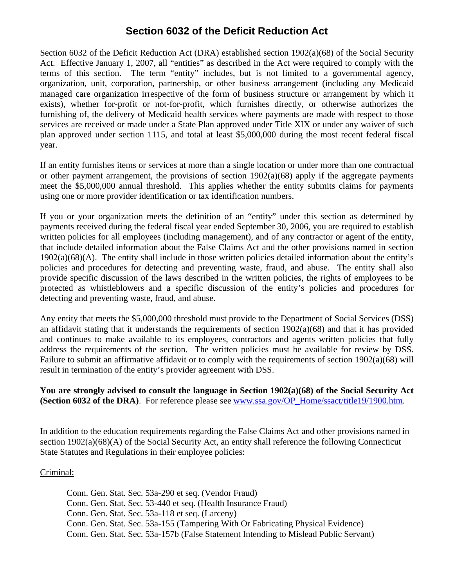# **Section 6032 of the Deficit Reduction Act**

Section 6032 of the Deficit Reduction Act (DRA) established section 1902(a)(68) of the Social Security Act. Effective January 1, 2007, all "entities" as described in the Act were required to comply with the terms of this section. The term "entity" includes, but is not limited to a governmental agency, organization, unit, corporation, partnership, or other business arrangement (including any Medicaid managed care organization irrespective of the form of business structure or arrangement by which it exists), whether for-profit or not-for-profit, which furnishes directly, or otherwise authorizes the furnishing of, the delivery of Medicaid health services where payments are made with respect to those services are received or made under a State Plan approved under Title XIX or under any waiver of such plan approved under section 1115, and total at least \$5,000,000 during the most recent federal fiscal year.

If an entity furnishes items or services at more than a single location or under more than one contractual or other payment arrangement, the provisions of section  $1902(a)(68)$  apply if the aggregate payments meet the \$5,000,000 annual threshold. This applies whether the entity submits claims for payments using one or more provider identification or tax identification numbers.

If you or your organization meets the definition of an "entity" under this section as determined by payments received during the federal fiscal year ended September 30, 2006, you are required to establish written policies for all employees (including management), and of any contractor or agent of the entity, that include detailed information about the False Claims Act and the other provisions named in section 1902(a)(68)(A). The entity shall include in those written policies detailed information about the entity's policies and procedures for detecting and preventing waste, fraud, and abuse. The entity shall also provide specific discussion of the laws described in the written policies, the rights of employees to be protected as whistleblowers and a specific discussion of the entity's policies and procedures for detecting and preventing waste, fraud, and abuse.

Any entity that meets the \$5,000,000 threshold must provide to the Department of Social Services (DSS) an affidavit stating that it understands the requirements of section 1902(a)(68) and that it has provided and continues to make available to its employees, contractors and agents written policies that fully address the requirements of the section. The written policies must be available for review by DSS. Failure to submit an affirmative affidavit or to comply with the requirements of section 1902(a)(68) will result in termination of the entity's provider agreement with DSS.

# **You are strongly advised to consult the language in Section 1902(a)(68) of the Social Security Act (Section 6032 of the DRA)**. For reference please see [www.ssa.gov/OP\\_Home/ssact/title19/1900.htm](http://www.ssa.gov/OP_Home/ssact/title19/1900.htm).

In addition to the education requirements regarding the False Claims Act and other provisions named in section 1902(a)(68)(A) of the Social Security Act, an entity shall reference the following Connecticut State Statutes and Regulations in their employee policies:

### Criminal:

Conn. Gen. Stat. Sec. 53a-290 et seq. (Vendor Fraud) Conn. Gen. Stat. Sec. 53-440 et seq. (Health Insurance Fraud) Conn. Gen. Stat. Sec. 53a-118 et seq. (Larceny) Conn. Gen. Stat. Sec. 53a-155 (Tampering With Or Fabricating Physical Evidence) Conn. Gen. Stat. Sec. 53a-157b (False Statement Intending to Mislead Public Servant)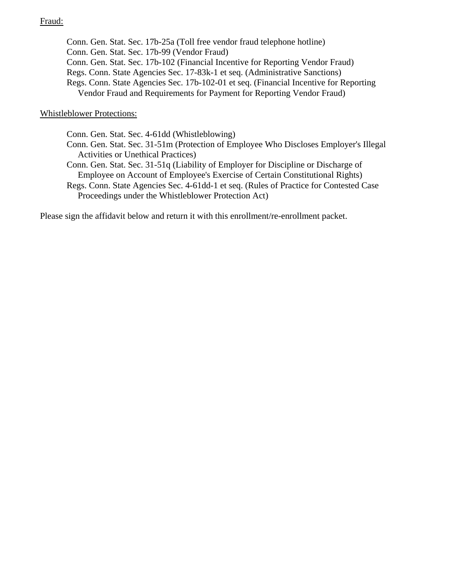## Fraud:

Conn. Gen. Stat. Sec. 17b-25a (Toll free vendor fraud telephone hotline) Conn. Gen. Stat. Sec. 17b-99 (Vendor Fraud) Conn. Gen. Stat. Sec. 17b-102 (Financial Incentive for Reporting Vendor Fraud) Regs. Conn. State Agencies Sec. 17-83k-1 et seq. (Administrative Sanctions) Regs. Conn. State Agencies Sec. 17b-102-01 et seq. (Financial Incentive for Reporting Vendor Fraud and Requirements for Payment for Reporting Vendor Fraud)

#### Whistleblower Protections:

Conn. Gen. Stat. Sec. 4-61dd (Whistleblowing)

- Conn. Gen. Stat. Sec. 31-51m (Protection of Employee Who Discloses Employer's Illegal Activities or Unethical Practices)
- Conn. Gen. Stat. Sec. 31-51q (Liability of Employer for Discipline or Discharge of Employee on Account of Employee's Exercise of Certain Constitutional Rights)
- Regs. Conn. State Agencies Sec. 4-61dd-1 et seq. (Rules of Practice for Contested Case Proceedings under the Whistleblower Protection Act)

Please sign the affidavit below and return it with this enrollment/re-enrollment packet.